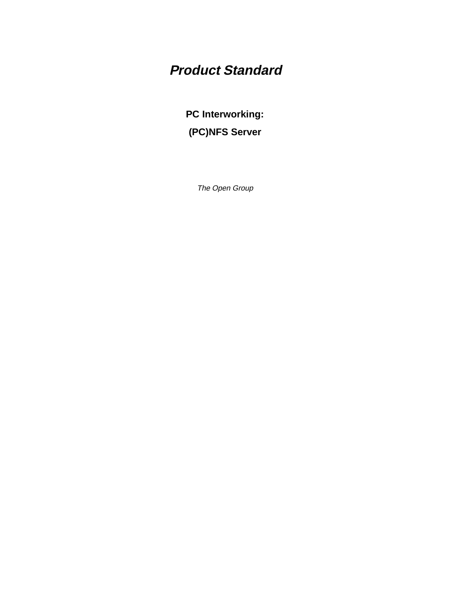# **Product Standard**

**PC Interworking: (PC)NFS Server**

The Open Group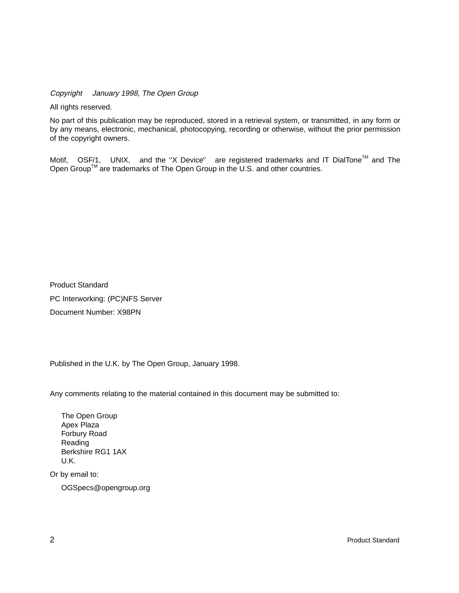Copyright  $\odot$  January 1998, The Open Group

All rights reserved.

No part of this publication may be reproduced, stored in a retrieval system, or transmitted, in any form or by any means, electronic, mechanical, photocopying, recording or otherwise, without the prior permission of the copyright owners.

Motif,  $^{\circledR}$  OSF/1,  $^{\circledR}$  UNIX,  $^{\circledR}$  and the "X Device" $^{\circledR}$  are registered trademarks and IT DialTone<sup>TM</sup> and The Open Group<sup>TM</sup> are trademarks of The Open Group in the U.S. and other countries.

Product Standard PC Interworking: (PC)NFS Server Document Number: X98PN

Published in the U.K. by The Open Group, January 1998.

Any comments relating to the material contained in this document may be submitted to:

The Open Group Apex Plaza Forbury Road Reading Berkshire RG1 1AX U.K.

Or by email to:

OGSpecs@opengroup.org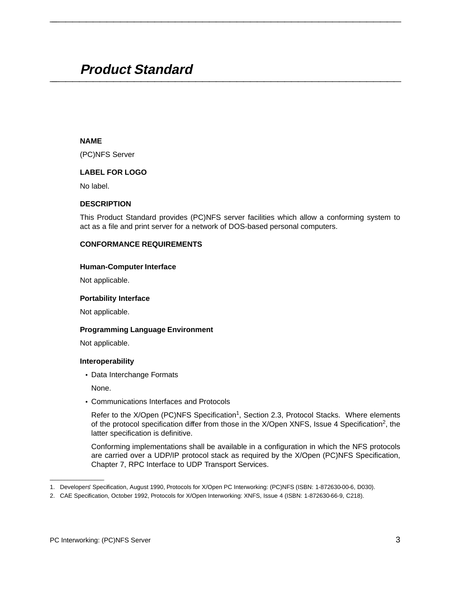## **Product Standard \_\_\_\_\_\_\_\_\_\_\_\_\_\_\_\_\_\_\_\_\_\_\_\_\_\_\_\_\_\_\_\_\_\_\_\_\_\_\_\_\_\_\_\_\_\_\_\_\_\_\_\_**

#### **NAME**

(PC)NFS Server

#### **LABEL FOR LOGO**

No label.

#### **DESCRIPTION**

This Product Standard provides (PC)NFS server facilities which allow a conforming system to act as a file and print server for a network of DOS-based personal computers.

**\_\_\_\_\_\_\_\_\_\_\_\_\_\_\_\_\_\_\_\_\_\_\_\_\_\_\_\_\_\_\_\_\_\_\_\_\_\_\_\_\_\_\_\_\_\_\_\_\_\_\_\_**

#### **CONFORMANCE REQUIREMENTS**

#### **Human-Computer Interface**

Not applicable.

#### **Portability Interface**

Not applicable.

#### **Programming Language Environment**

Not applicable.

#### **Interoperability**

• Data Interchange Formats

None.

• Communications Interfaces and Protocols

Refer to the  $X/O$  pen (PC)NFS Specification<sup>1</sup>, Section 2.3, Protocol Stacks. Where elements of the protocol specification differ from those in the X/Open XNFS, Issue 4 Specification<sup>2</sup>, the latter specification is definitive.

Conforming implementations shall be available in a configuration in which the NFS protocols are carried over a UDP/IP protocol stack as required by the X/Open (PC)NFS Specification, Chapter 7, RPC Interface to UDP Transport Services.

\_\_\_\_\_\_\_\_\_\_\_\_\_\_\_\_\_\_

<sup>1.</sup> Developers' Specification, August 1990, Protocols for X/Open PC Interworking: (PC)NFS (ISBN: 1-872630-00-6, D030).

<sup>2.</sup> CAE Specification, October 1992, Protocols for X/Open Interworking: XNFS, Issue 4 (ISBN: 1-872630-66-9, C218).